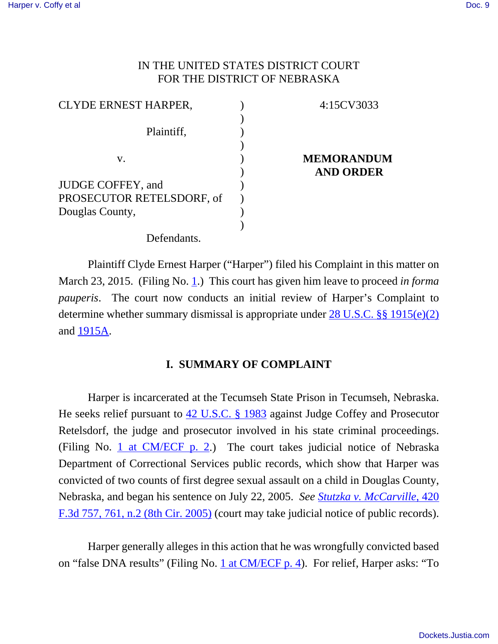# IN THE UNITED STATES DISTRICT COURT FOR THE DISTRICT OF NEBRASKA

| <b>CLYDE ERNEST HARPER,</b> | 4:15CV3033        |
|-----------------------------|-------------------|
|                             |                   |
| Plaintiff,                  |                   |
|                             |                   |
| V.                          | <b>MEMORANDUM</b> |
|                             | <b>AND ORDER</b>  |
| JUDGE COFFEY, and           |                   |
| PROSECUTOR RETELSDORF, of   |                   |
| Douglas County,             |                   |
|                             |                   |
| Defendants.                 |                   |

Plaintiff Clyde Ernest Harper ("Harper") filed his Complaint in this matter on March 23, 2015. (Filing No. 1.) This court has given him leave to proceed *in forma pauperis*. The court now conducts an initial review of Harper's Complaint to determine whether summary dismissal is appropriate under 28 U.S.C. §§ 1915(e)(2) and 1915A.

# **I. SUMMARY OF COMPLAINT**

Harper is incarcerated at the Tecumseh State Prison in Tecumseh, Nebraska. He seeks relief pursuant to  $42$  U.S.C. § 1983 against Judge Coffey and Prosecutor Retelsdorf, the judge and prosecutor involved in his state criminal proceedings. (Filing No. 1 at  $CM/ECF$  p. 2.) The court takes judicial notice of Nebraska Department of Correctional Services public records, which show that Harper was convicted of two counts of first degree sexual assault on a child in Douglas County, Nebraska, and began his sentence on July 22, 2005. *See Stutzka v. McCarville*, 420 F.3d 757, 761, n.2 (8th Cir. 2005) (court may take judicial notice of public records).

Harper generally alleges in this action that he was wrongfully convicted based on "false DNA results" (Filing No. 1 at CM/ECF p. 4). For relief, Harper asks: "To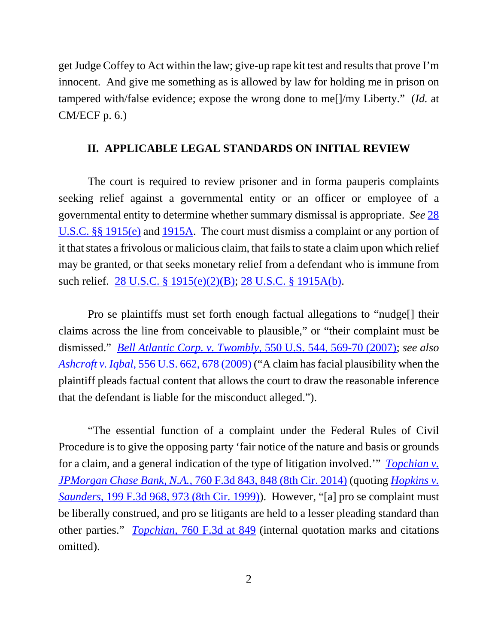get Judge Coffey to Act within the law; give-up rape kit test and results that prove I'm innocent. And give me something as is allowed by law for holding me in prison on tampered with/false evidence; expose the wrong done to me[]/my Liberty." (*Id.* at CM/ECF p. 6.)

### **II. APPLICABLE LEGAL STANDARDS ON INITIAL REVIEW**

The court is required to review prisoner and in forma pauperis complaints seeking relief against a governmental entity or an officer or employee of a governmental entity to determine whether summary dismissal is appropriate. *See* 28 U.S.C. §§ 1915(e) and 1915A. The court must dismiss a complaint or any portion of it that states a frivolous or malicious claim, that fails to state a claim upon which relief may be granted, or that seeks monetary relief from a defendant who is immune from such relief. 28 U.S.C. § 1915(e)(2)(B); 28 U.S.C. § 1915A(b).

Pro se plaintiffs must set forth enough factual allegations to "nudge[] their claims across the line from conceivable to plausible," or "their complaint must be dismissed." *Bell Atlantic Corp. v. Twombly*, 550 U.S. 544, 569-70 (2007); *see also Ashcroft v. Iqbal*, 556 U.S. 662, 678 (2009) ("A claim has facial plausibility when the plaintiff pleads factual content that allows the court to draw the reasonable inference that the defendant is liable for the misconduct alleged.").

"The essential function of a complaint under the Federal Rules of Civil Procedure is to give the opposing party 'fair notice of the nature and basis or grounds for a claim, and a general indication of the type of litigation involved.'" *Topchian v. JPMorgan Chase Bank, N.A.*, 760 F.3d 843, 848 (8th Cir. 2014) (quoting *Hopkins v. Saunders*, 199 F.3d 968, 973 (8th Cir. 1999)). However, "[a] pro se complaint must be liberally construed, and pro se litigants are held to a lesser pleading standard than other parties." *Topchian*, 760 F.3d at 849 (internal quotation marks and citations omitted).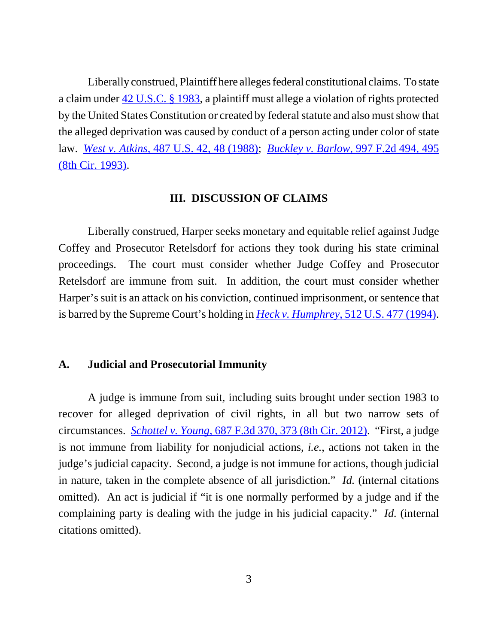Liberally construed, Plaintiff here alleges federal constitutional claims. To state a claim under 42 U.S.C. § 1983, a plaintiff must allege a violation of rights protected by the United States Constitution or created by federal statute and also must show that the alleged deprivation was caused by conduct of a person acting under color of state law. *West v. Atkins*, 487 U.S. 42, 48 (1988); *Buckley v. Barlow*, 997 F.2d 494, 495 (8th Cir. 1993).

#### **III. DISCUSSION OF CLAIMS**

Liberally construed, Harper seeks monetary and equitable relief against Judge Coffey and Prosecutor Retelsdorf for actions they took during his state criminal proceedings. The court must consider whether Judge Coffey and Prosecutor Retelsdorf are immune from suit. In addition, the court must consider whether Harper's suit is an attack on his conviction, continued imprisonment, or sentence that is barred by the Supreme Court's holding in *Heck v. Humphrey*, 512 U.S. 477 (1994).

## **A. Judicial and Prosecutorial Immunity**

A judge is immune from suit, including suits brought under section 1983 to recover for alleged deprivation of civil rights, in all but two narrow sets of circumstances. *Schottel v. Young*, 687 F.3d 370, 373 (8th Cir. 2012). "First, a judge is not immune from liability for nonjudicial actions, *i.e.*, actions not taken in the judge's judicial capacity. Second, a judge is not immune for actions, though judicial in nature, taken in the complete absence of all jurisdiction." *Id.* (internal citations omitted). An act is judicial if "it is one normally performed by a judge and if the complaining party is dealing with the judge in his judicial capacity." *Id.* (internal citations omitted).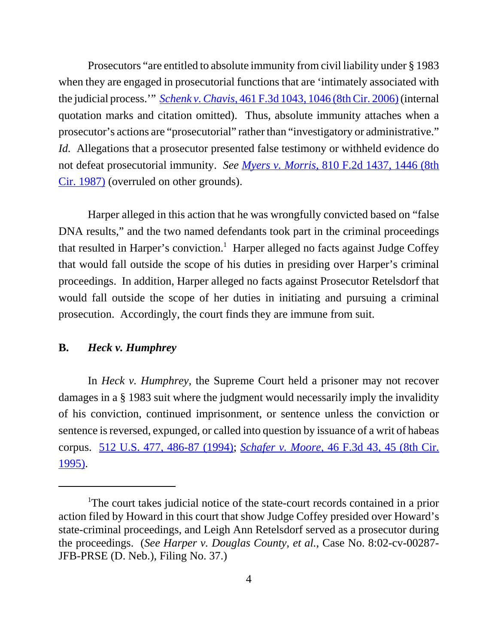Prosecutors "are entitled to absolute immunity from civil liability under § 1983 when they are engaged in prosecutorial functions that are 'intimately associated with the judicial process.'" *Schenk v. Chavis*, 461 F.3d 1043, 1046 (8th Cir. 2006) (internal quotation marks and citation omitted). Thus, absolute immunity attaches when a prosecutor's actions are "prosecutorial" rather than "investigatory or administrative." *Id.* Allegations that a prosecutor presented false testimony or withheld evidence do not defeat prosecutorial immunity. *See Myers v. Morris*, 810 F.2d 1437, 1446 (8th Cir. 1987) (overruled on other grounds).

Harper alleged in this action that he was wrongfully convicted based on "false DNA results," and the two named defendants took part in the criminal proceedings that resulted in Harper's conviction.<sup>1</sup> Harper alleged no facts against Judge Coffey that would fall outside the scope of his duties in presiding over Harper's criminal proceedings. In addition, Harper alleged no facts against Prosecutor Retelsdorf that would fall outside the scope of her duties in initiating and pursuing a criminal prosecution. Accordingly, the court finds they are immune from suit.

### **B.** *Heck v. Humphrey*

In *Heck v. Humphrey*, the Supreme Court held a prisoner may not recover damages in a § 1983 suit where the judgment would necessarily imply the invalidity of his conviction, continued imprisonment, or sentence unless the conviction or sentence is reversed, expunged, or called into question by issuance of a writ of habeas corpus. 512 U.S. 477, 486-87 (1994); *Schafer v. Moore*, 46 F.3d 43, 45 (8th Cir. 1995).

<sup>&</sup>lt;sup>1</sup>The court takes judicial notice of the state-court records contained in a prior action filed by Howard in this court that show Judge Coffey presided over Howard's state-criminal proceedings, and Leigh Ann Retelsdorf served as a prosecutor during the proceedings. (*See Harper v. Douglas County*, *et al.*, Case No. 8:02-cv-00287- JFB-PRSE (D. Neb.), Filing No. 37.)